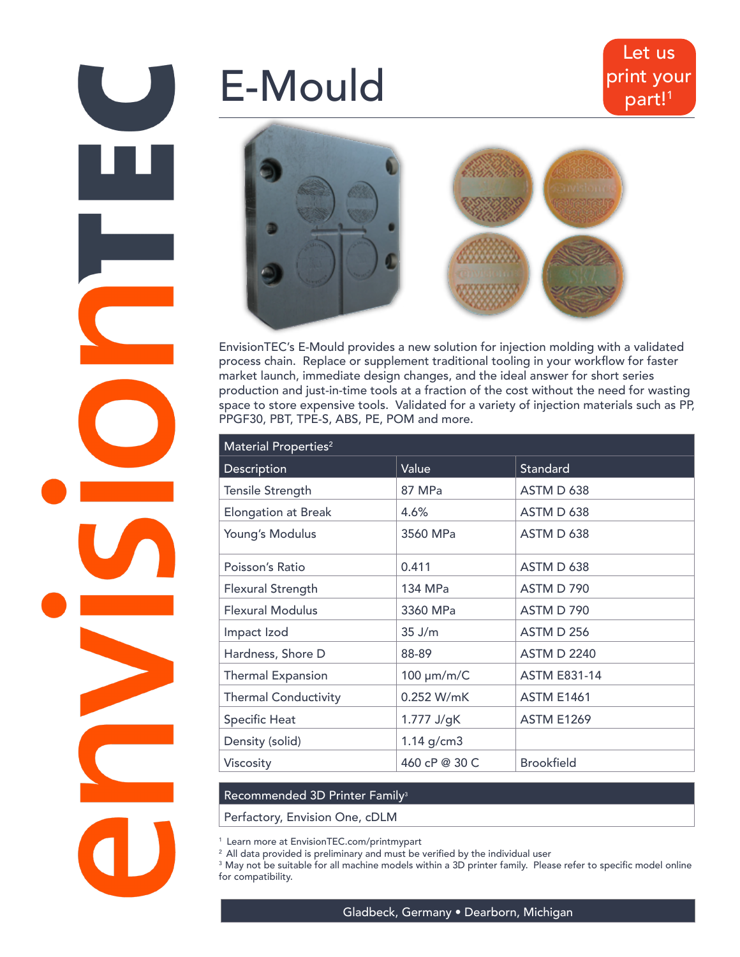# E-Mould



EnvisionTEC's E-Mould provides a new solution for injection molding with a validated process chain. Replace or supplement traditional tooling in your workflow for faster market launch, immediate design changes, and the ideal answer for short series production and just-in-time tools at a fraction of the cost without the need for wasting space to store expensive tools. Validated for a variety of injection materials such as PP, PPGF30, PBT, TPE-S, ABS, PE, POM and more.

| Material Properties <sup>2</sup> |                 |                     |
|----------------------------------|-----------------|---------------------|
| Description                      | Value           | Standard            |
| <b>Tensile Strength</b>          | 87 MPa          | ASTM D 638          |
| <b>Elongation at Break</b>       | 4.6%            | ASTM D 638          |
| Young's Modulus                  | 3560 MPa        | ASTM D 638          |
| Poisson's Ratio                  | 0.411           | ASTM D 638          |
| <b>Flexural Strength</b>         | 134 MPa         | ASTM D 790          |
| <b>Flexural Modulus</b>          | 3360 MPa        | ASTM D 790          |
| Impact Izod                      | $35$ J/m        | <b>ASTM D 256</b>   |
| Hardness, Shore D                | 88-89           | <b>ASTM D 2240</b>  |
| <b>Thermal Expansion</b>         | 100 µm/m/C      | <b>ASTM E831-14</b> |
| <b>Thermal Conductivity</b>      | 0.252 W/mK      | <b>ASTM E1461</b>   |
| <b>Specific Heat</b>             | 1.777 J/gK      | <b>ASTM E1269</b>   |
| Density (solid)                  | $1.14$ g/cm $3$ |                     |
| Viscosity                        | 460 cP @ 30 C   | <b>Brookfield</b>   |

## Recommended 3D Printer Family<sup>3</sup>

Perfactory, Envision One, cDLM

1 Learn more at EnvisionTEC.com/printmypart

 $2$  All data provided is preliminary and must be verified by the individual user

<sup>3</sup> May not be suitable for all machine models within a 3D printer family. Please refer to specific model online for compatibility.

Gladbeck, Germany • Dearborn, Michigan